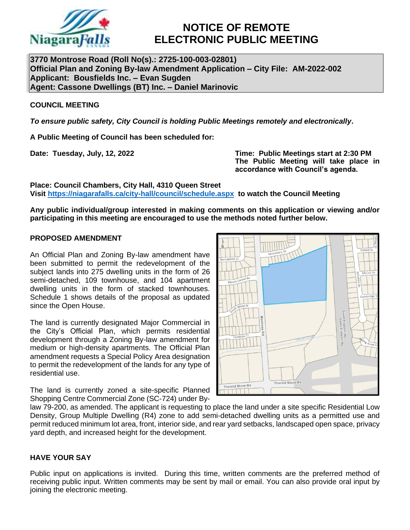

# **NOTICE OF REMOTE ELECTRONIC PUBLIC MEETING**

**3770 Montrose Road (Roll No(s).: 2725-100-003-02801) Official Plan and Zoning By-law Amendment Application – City File: AM-2022-002 Applicant: Bousfields Inc. – Evan Sugden Agent: Cassone Dwellings (BT) Inc. – Daniel Marinovic**

# **COUNCIL MEETING**

*To ensure public safety, City Council is holding Public Meetings remotely and electronically***.**

**A Public Meeting of Council has been scheduled for:**

**Date: Tuesday, July, 12, 2022 Time: Public Meetings start at 2:30 PM The Public Meeting will take place in accordance with Council's agenda.**

**Place: Council Chambers, City Hall, 4310 Queen Street Visit<https://niagarafalls.ca/city-hall/council/schedule.aspx> to watch the Council Meeting** 

**Any public individual/group interested in making comments on this application or viewing and/or participating in this meeting are encouraged to use the methods noted further below.**

#### **PROPOSED AMENDMENT**

An Official Plan and Zoning By-law amendment have been submitted to permit the redevelopment of the subject lands into 275 dwelling units in the form of 26 semi-detached, 109 townhouse, and 104 apartment dwelling units in the form of stacked townhouses. Schedule 1 shows details of the proposal as updated since the Open House.

The land is currently designated Major Commercial in the City's Official Plan, which permits residential development through a Zoning By-law amendment for medium or high-density apartments. The Official Plan amendment requests a Special Policy Area designation to permit the redevelopment of the lands for any type of residential use.

The land is currently zoned a site-specific Planned Shopping Centre Commercial Zone (SC-724) under By-



law 79-200, as amended. The applicant is requesting to place the land under a site specific Residential Low Density, Group Multiple Dwelling (R4) zone to add semi-detached dwelling units as a permitted use and permit reduced minimum lot area, front, interior side, and rear yard setbacks, landscaped open space, privacy yard depth, and increased height for the development.

# **HAVE YOUR SAY**

Public input on applications is invited. During this time, written comments are the preferred method of receiving public input. Written comments may be sent by mail or email. You can also provide oral input by joining the electronic meeting.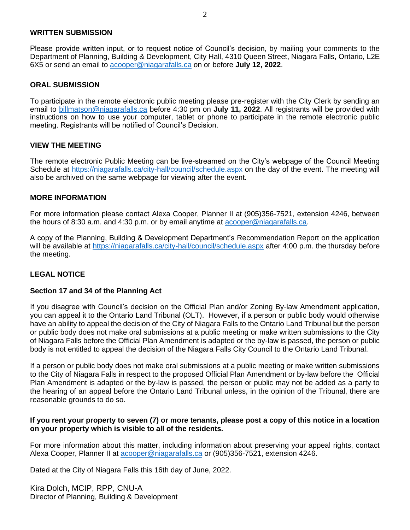#### **WRITTEN SUBMISSION**

Please provide written input, or to request notice of Council's decision, by mailing your comments to the Department of Planning, Building & Development, City Hall, 4310 Queen Street, Niagara Falls, Ontario, L2E 6X5 or send an email to [acooper@niagarafalls.ca](mailto:acooper@niagarafalls.ca) on or before **July 12, 2022**.

## **ORAL SUBMISSION**

To participate in the remote electronic public meeting please pre-register with the City Clerk by sending an email to [billmatson@niagarafalls.ca](mailto:billmatson@niagarafalls.ca) before 4:30 pm on **July 11, 2022**. All registrants will be provided with instructions on how to use your computer, tablet or phone to participate in the remote electronic public meeting. Registrants will be notified of Council's Decision.

#### **VIEW THE MEETING**

The remote electronic Public Meeting can be live-streamed on the City's webpage of the Council Meeting Schedule at<https://niagarafalls.ca/city-hall/council/schedule.aspx> on the day of the event. The meeting will also be archived on the same webpage for viewing after the event.

#### **MORE INFORMATION**

For more information please contact Alexa Cooper, Planner II at (905)356-7521, extension 4246, between the hours of 8:30 a.m. and 4:30 p.m. or by email anytime at [acooper@niagarafalls.ca.](mailto:acooper@niagarafalls.ca)

A copy of the Planning, Building & Development Department's Recommendation Report on the application will be available at<https://niagarafalls.ca/city-hall/council/schedule.aspx> after 4:00 p.m. the thursday before the meeting.

# **LEGAL NOTICE**

#### **Section 17 and 34 of the Planning Act**

If you disagree with Council's decision on the Official Plan and/or Zoning By-law Amendment application, you can appeal it to the Ontario Land Tribunal (OLT). However, if a person or public body would otherwise have an ability to appeal the decision of the City of Niagara Falls to the Ontario Land Tribunal but the person or public body does not make oral submissions at a public meeting or make written submissions to the City of Niagara Falls before the Official Plan Amendment is adapted or the by-law is passed, the person or public body is not entitled to appeal the decision of the Niagara Falls City Council to the Ontario Land Tribunal.

If a person or public body does not make oral submissions at a public meeting or make written submissions to the City of Niagara Falls in respect to the proposed Official Plan Amendment or by-law before the Official Plan Amendment is adapted or the by-law is passed, the person or public may not be added as a party to the hearing of an appeal before the Ontario Land Tribunal unless, in the opinion of the Tribunal, there are reasonable grounds to do so.

#### **If you rent your property to seven (7) or more tenants, please post a copy of this notice in a location on your property which is visible to all of the residents.**

For more information about this matter, including information about preserving your appeal rights, contact Alexa Cooper, Planner II at [acooper@niagarafalls.ca](mailto:acooper@niagarafalls.ca) or (905)356-7521, extension 4246.

Dated at the City of Niagara Falls this 16th day of June, 2022.

Kira Dolch, MCIP, RPP, CNU-A Director of Planning, Building & Development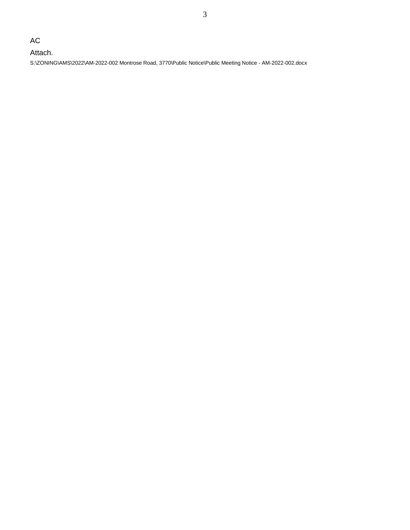AC

Attach. S:\ZONING\AMS\2022\AM-2022-002 Montrose Road, 3770\Public Notice\Public Meeting Notice - AM-2022-002.docx